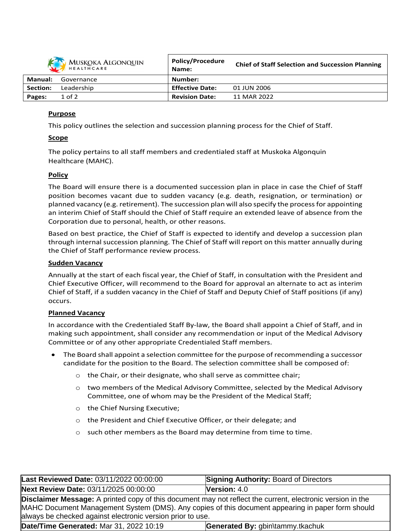

| MUSKOKA ALGONQUIN<br>HEALTHCARE |            | <b>POIICY/Procedure</b><br>Name: | <b>Chief of Staff Selection and Succession Planning</b> |
|---------------------------------|------------|----------------------------------|---------------------------------------------------------|
| Manual:                         | Governance | Number:                          |                                                         |
| <b>Section:</b>                 | Leadership | <b>Effective Date:</b>           | 01 JUN 2006                                             |
| Pages:                          | $1$ of $2$ | <b>Revision Date:</b>            | 11 MAR 2022                                             |

**Policy/Procedure**

## **Purpose**

This policy outlines the selection and succession planning process for the Chief of Staff.

# **Scope**

The policy pertains to all staff members and credentialed staff at Muskoka Algonquin Healthcare (MAHC).

# **Policy**

The Board will ensure there is a documented succession plan in place in case the Chief of Staff position becomes vacant due to sudden vacancy (e.g. death, resignation, or termination) or planned vacancy (e.g. retirement). The succession plan will also specify the processfor appointing an interim Chief of Staff should the Chief of Staff require an extended leave of absence from the Corporation due to personal, health, or other reasons.

Based on best practice, the Chief of Staff is expected to identify and develop a succession plan through internal succession planning. The Chief of Staff will report on this matter annually during the Chief of Staff performance review process.

## **Sudden Vacancy**

Annually at the start of each fiscal year, the Chief of Staff, in consultation with the President and Chief Executive Officer, will recommend to the Board for approval an alternate to act as interim Chief of Staff, if a sudden vacancy in the Chief of Staff and Deputy Chief of Staff positions (if any) occurs.

## **Planned Vacancy**

In accordance with the Credentialed Staff By-law, the Board shall appoint a Chief of Staff, and in making such appointment, shall consider any recommendation or input of the Medical Advisory Committee or of any other appropriate Credentialed Staff members.

- The Board shall appoint a selection committee for the purpose of recommending a successor candidate for the position to the Board. The selection committee shall be composed of:
	- o the Chair, or their designate, who shall serve as committee chair;
	- o two members of the Medical Advisory Committee, selected by the Medical Advisory Committee, one of whom may be the President of the Medical Staff;
	- o the Chief Nursing Executive;
	- o the President and Chief Executive Officer, or their delegate; and
	- $\circ$  such other members as the Board may determine from time to time.

| Last Reviewed Date: 03/11/2022 00:00:00                                                                                                                                                                                                                                              | <b>Signing Authority: Board of Directors</b> |  |  |  |  |
|--------------------------------------------------------------------------------------------------------------------------------------------------------------------------------------------------------------------------------------------------------------------------------------|----------------------------------------------|--|--|--|--|
| Next Review Date: 03/11/2025 00:00:00                                                                                                                                                                                                                                                | <b>Version:</b> $4.0$                        |  |  |  |  |
| <b>Disclaimer Message:</b> A printed copy of this document may not reflect the current, electronic version in the<br>MAHC Document Management System (DMS). Any copies of this document appearing in paper form should<br>always be checked against electronic version prior to use. |                                              |  |  |  |  |
| Date/Time Generated: Mar 31, 2022 10:19                                                                                                                                                                                                                                              | Generated By: gbin\tammy.tkachuk             |  |  |  |  |